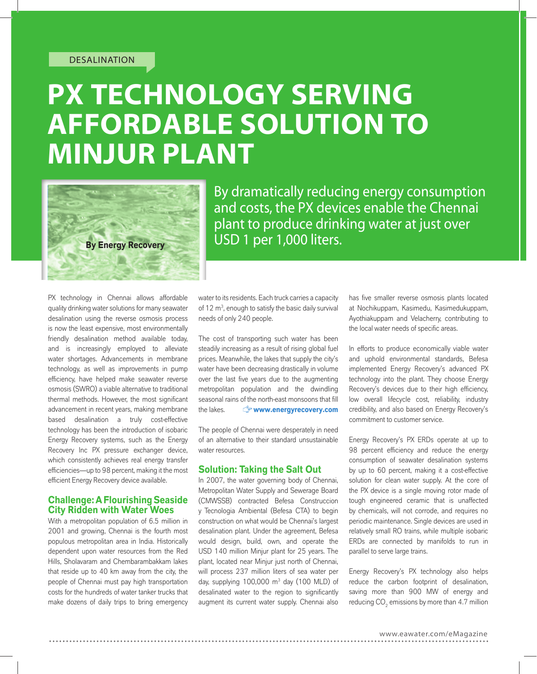# **PX TECHNOLOGY SERVING AFFORDABLE SOLUTION TO MINJUR PLANT**



By dramatically reducing energy consumption and costs, the PX devices enable the Chennai plant to produce drinking water at just over

PX technology in Chennai allows affordable quality drinking water solutions for many seawater desalination using the reverse osmosis process is now the least expensive, most environmentally friendly desalination method available today, and is increasingly employed to alleviate water shortages. Advancements in membrane technology, as well as improvements in pump efficiency, have helped make seawater reverse osmosis (SWRO) a viable alternative to traditional thermal methods. However, the most significant advancement in recent years, making membrane based desalination a truly cost-effective technology has been the introduction of isobaric Energy Recovery systems, such as the Energy Recovery Inc PX pressure exchanger device, which consistently achieves real energy transfer efficiencies—up to 98 percent, making it the most efficient Energy Recovery device available.

### **Challenge: A Flourishing Seaside City Ridden with Water Woes**

With a metropolitan population of 6.5 million in 2001 and growing, Chennai is the fourth most populous metropolitan area in India. Historically dependent upon water resources from the Red Hills, Sholavaram and Chembarambakkam lakes that reside up to 40 km away from the city, the people of Chennai must pay high transportation costs for the hundreds of water tanker trucks that make dozens of daily trips to bring emergency

water to its residents. Each truck carries a capacity of  $12 \text{ m}^3$ , enough to satisfy the basic daily survival needs of only 240 people.

The cost of transporting such water has been steadily increasing as a result of rising global fuel prices. Meanwhile, the lakes that supply the city's water have been decreasing drastically in volume over the last five years due to the augmenting metropolitan population and the dwindling seasonal rains of the north-east monsoons that fill the lakes. **www.energyrecovery.com**

The people of Chennai were desperately in need of an alternative to their standard unsustainable water resources.

### **Solution: Taking the Salt Out**

In 2007, the water governing body of Chennai, Metropolitan Water Supply and Sewerage Board (CMWSSB) contracted Befesa Construccion y Tecnologia Ambiental (Befesa CTA) to begin construction on what would be Chennai's largest desalination plant. Under the agreement, Befesa would design, build, own, and operate the USD 140 million Minjur plant for 25 years. The plant, located near Minjur just north of Chennai, will process 237 million liters of sea water per day, supplying  $100,000$  m<sup>3</sup> day (100 MLD) of desalinated water to the region to significantly augment its current water supply. Chennai also has five smaller reverse osmosis plants located at Nochikuppam, Kasimedu, Kasimedukuppam, Ayothiakuppam and Velacherry, contributing to the local water needs of specific areas.

In efforts to produce economically viable water and uphold environmental standards, Befesa implemented Energy Recovery's advanced PX technology into the plant. They choose Energy Recovery's devices due to their high efficiency, low overall lifecycle cost, reliability, industry credibility, and also based on Energy Recovery's commitment to customer service.

Energy Recovery's PX ERDs operate at up to 98 percent efficiency and reduce the energy consumption of seawater desalination systems by up to 60 percent, making it a cost-effective solution for clean water supply. At the core of the PX device is a single moving rotor made of tough engineered ceramic that is unaffected by chemicals, will not corrode, and requires no periodic maintenance. Single devices are used in relatively small RO trains, while multiple isobaric ERDs are connected by manifolds to run in parallel to serve large trains.

Energy Recovery's PX technology also helps reduce the carbon footprint of desalination, saving more than 900 MW of energy and reducing CO<sub>2</sub> emissions by more than 4.7 million